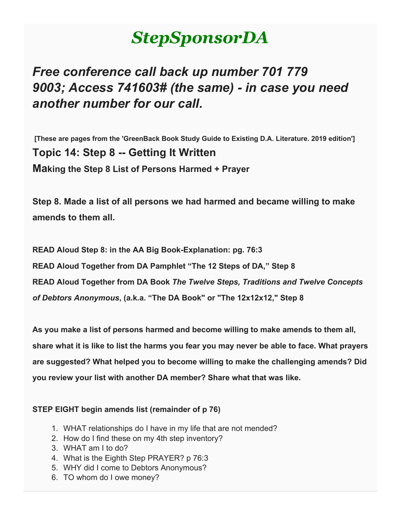# *StepSponsorDA*

# *Free conference call back up number 701 779 9003; Access 741603# (the same) - in case you need another number for our call.*

**[These are pages from the 'GreenBack Book Study Guide to Existing D.A. Literature. 2019 edition'] Topic 14: Step 8 -- Getting It Written Making the Step 8 List of Persons Harmed + Prayer**

**Step 8. Made a list of all persons we had harmed and became willing to make amends to them all.**

**READ Aloud Step 8: in the AA Big Book-Explanation: pg. 76:3 READ Aloud Together from DA Pamphlet "The 12 Steps of DA," Step 8 READ Aloud Together from DA Book** *The Twelve Steps, Traditions and Twelve Concepts of Debtors Anonymous***, (a.k.a. "The DA Book" or "The 12x12x12," Step 8**

**As you make a list of persons harmed and become willing to make amends to them all, share what it is like to list the harms you fear you may never be able to face. What prayers are suggested? What helped you to become willing to make the challenging amends? Did you review your list with another DA member? Share what that was like.**

#### **STEP EIGHT begin amends list (remainder of p 76)**

- 1. WHAT relationships do I have in my life that are not mended?
- 2. How do I find these on my 4th step inventory?
- 3. WHAT am I to do?
- 4. What is the Eighth Step PRAYER? p 76:3
- 5. WHY did I come to Debtors Anonymous?
- 6. TO whom do I owe money?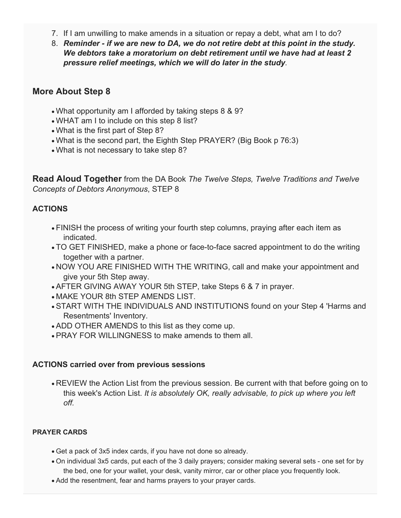- 7. If I am unwilling to make amends in a situation or repay a debt, what am I to do?
- 8. *Reminder - if we are new to DA, we do not retire debt at this point in the study. We debtors take a moratorium on debt retirement until we have had at least 2 pressure relief meetings, which we will do later in the study.*

### **More About Step 8**

- What opportunity am I afforded by taking steps 8 & 9?
- WHAT am I to include on this step 8 list?
- What is the first part of Step 8?
- What is the second part, the Eighth Step PRAYER? (Big Book p 76:3)
- What is not necessary to take step 8?

**Read Aloud Together** from the DA Book *The Twelve Steps, Twelve Traditions and Twelve Concepts of Debtors Anonymous*, STEP 8

#### **ACTIONS**

- FINISH the process of writing your fourth step columns, praying after each item as indicated.
- TO GET FINISHED, make a phone or face-to-face sacred appointment to do the writing together with a partner.
- NOW YOU ARE FINISHED WITH THE WRITING, call and make your appointment and give your 5th Step away.
- AFTER GIVING AWAY YOUR 5th STEP, take Steps 6 & 7 in prayer.
- MAKE YOUR 8th STEP AMENDS LIST.
- START WITH THE INDIVIDUALS AND INSTITUTIONS found on your Step 4 'Harms and Resentments' Inventory.
- ADD OTHER AMENDS to this list as they come up.
- PRAY FOR WILLINGNESS to make amends to them all.

#### **ACTIONS carried over from previous sessions**

• REVIEW the Action List from the previous session. Be current with that before going on to this week's Action List. *It is absolutely OK, really advisable, to pick up where you left off.*

#### **PRAYER CARDS**

- Get a pack of 3x5 index cards, if you have not done so already.
- On individual 3x5 cards, put each of the 3 daily prayers; consider making several sets one set for by the bed, one for your wallet, your desk, vanity mirror, car or other place you frequently look.
- Add the resentment, fear and harms prayers to your prayer cards.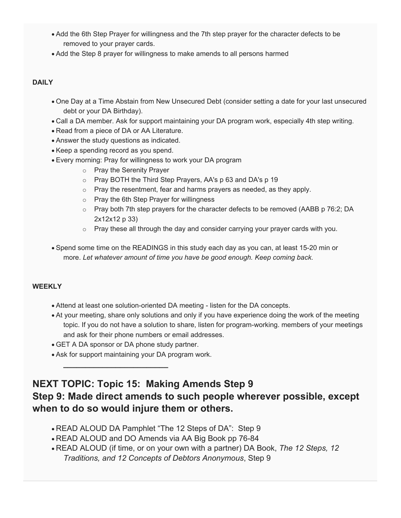- Add the 6th Step Prayer for willingness and the 7th step prayer for the character defects to be removed to your prayer cards.
- Add the Step 8 prayer for willingness to make amends to all persons harmed

#### **DAILY**

- One Day at a Time Abstain from New Unsecured Debt (consider setting a date for your last unsecured debt or your DA Birthday).
- Call a DA member. Ask for support maintaining your DA program work, especially 4th step writing.
- Read from a piece of DA or AA Literature.
- Answer the study questions as indicated.
- Keep a spending record as you spend.
- Every morning: Pray for willingness to work your DA program
	- o Pray the Serenity Prayer
	- o Pray BOTH the Third Step Prayers, AA's p 63 and DA's p 19
	- $\circ$  Pray the resentment, fear and harms prayers as needed, as they apply.
	- o Pray the 6th Step Prayer for willingness
	- $\circ$  Pray both 7th step prayers for the character defects to be removed (AABB p 76:2; DA 2x12x12 p 33)
	- $\circ$  Pray these all through the day and consider carrying your prayer cards with you.
- Spend some time on the READINGS in this study each day as you can, at least 15-20 min or more. *Let whatever amount of time you have be good enough. Keep coming back.*

#### **WEEKLY**

- Attend at least one solution-oriented DA meeting listen for the DA concepts.
- At your meeting, share only solutions and only if you have experience doing the work of the meeting topic. If you do not have a solution to share, listen for program-working. members of your meetings and ask for their phone numbers or email addresses.
- GET A DA sponsor or DA phone study partner.

**\_\_\_\_\_\_\_\_\_\_\_\_\_\_\_\_\_\_\_\_\_\_\_\_**

• Ask for support maintaining your DA program work.

## **NEXT TOPIC: Topic 15: Making Amends Step 9 Step 9: Made direct amends to such people wherever possible, except when to do so would injure them or others.**

- READ ALOUD DA Pamphlet "The 12 Steps of DA": Step 9
- READ ALOUD and DO Amends via AA Big Book pp 76-84
- READ ALOUD (if time, or on your own with a partner) DA Book, *The 12 Steps, 12 Traditions, and 12 Concepts of Debtors Anonymous*, Step 9